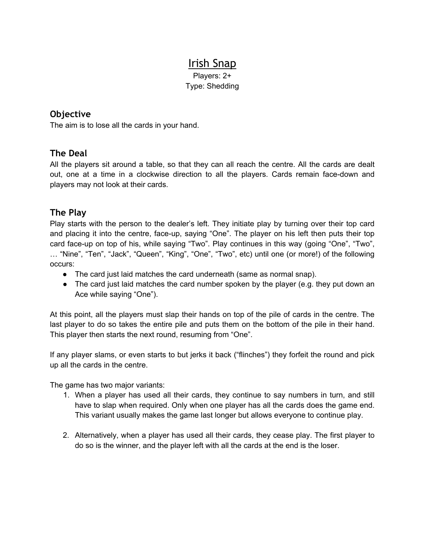# Irish Snap

Players: 2+ Type: Shedding

### **Objective**

The aim is to lose all the cards in your hand.

#### **The Deal**

All the players sit around a table, so that they can all reach the centre. All the cards are dealt out, one at a time in a clockwise direction to all the players. Cards remain face-down and players may not look at their cards.

#### **The Play**

Play starts with the person to the dealer's left. They initiate play by turning over their top card and placing it into the centre, face-up, saying "One". The player on his left then puts their top card face-up on top of his, while saying "Two". Play continues in this way (going "One", "Two", … "Nine", "Ten", "Jack", "Queen", "King", "One", "Two", etc) until one (or more!) of the following occurs:

- The card just laid matches the card underneath (same as normal snap).
- The card just laid matches the card number spoken by the player (e.g. they put down an Ace while saying "One").

At this point, all the players must slap their hands on top of the pile of cards in the centre. The last player to do so takes the entire pile and puts them on the bottom of the pile in their hand. This player then starts the next round, resuming from "One".

If any player slams, or even starts to but jerks it back ("flinches") they forfeit the round and pick up all the cards in the centre.

The game has two major variants:

- 1. When a player has used all their cards, they continue to say numbers in turn, and still have to slap when required. Only when one player has all the cards does the game end. This variant usually makes the game last longer but allows everyone to continue play.
- 2. Alternatively, when a player has used all their cards, they cease play. The first player to do so is the winner, and the player left with all the cards at the end is the loser.